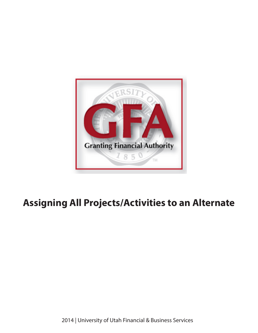

# **Assigning All Projects/Activities to an Alternate**

2014 | University of Utah Financial & Business Services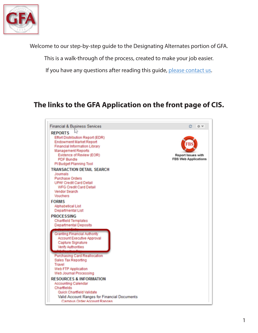

Welcome to our step-by-step guide to the Designating Alternates portion of GFA.

This is a walk-through of the process, created to make your job easier.

If you have any questions after reading this guide, please contact us.

# **The links to the GFA Application on the front page of CIS.**

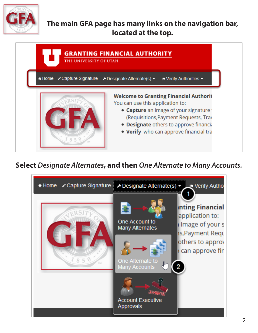

### **The main GFA page has many links on the navigation bar, located at the top.**



## **Select** *Designate Alternates***, and then** *One Alternate to Many Accounts.*

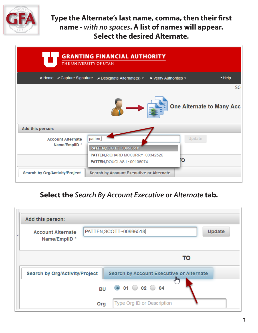

**Type the Alternate's last name, comma, then their first name -** *with no spaces***. A list of names will appear. Select the desired Alternate.**

| <b>GRANTING FINANCIAL AUTHORITY</b><br>THE UNIVERSITY OF UTAH |                                                                                                                        |                                  |           |  |  |  |  |  |
|---------------------------------------------------------------|------------------------------------------------------------------------------------------------------------------------|----------------------------------|-----------|--|--|--|--|--|
|                                                               | A Home capture Signature contesignate Alternate(s) ▼<br>$\blacktriangleright$ Verify Authorities $\blacktriangleright$ |                                  | ? Help    |  |  |  |  |  |
|                                                               |                                                                                                                        |                                  | <b>SC</b> |  |  |  |  |  |
|                                                               |                                                                                                                        | <b>One Alternate to Many Acc</b> |           |  |  |  |  |  |
| Add this person:                                              |                                                                                                                        |                                  |           |  |  |  |  |  |
| <b>Account Alternate</b>                                      | patten,                                                                                                                | Update                           |           |  |  |  |  |  |
| Name/EmpIID *                                                 | PATTEN, SCOTT~00996518                                                                                                 |                                  |           |  |  |  |  |  |
|                                                               | PATTEN, RICHARD MCCURRY~00342526<br>PATTEN, DOUGLAS L~00106074                                                         | Ю                                |           |  |  |  |  |  |
| <b>Search by Org/Activity/Project</b>                         | <b>Search by Account Executive or Alternate</b>                                                                        |                                  |           |  |  |  |  |  |

#### **Select the** *Search By Account Executive or Alternate* **tab.**

| Add this person:                          |                                                 |  |  |  |  |  |  |
|-------------------------------------------|-------------------------------------------------|--|--|--|--|--|--|
| <b>Account Alternate</b><br>Name/EmpIID * | PATTEN, SCOTT~00996518<br>Update                |  |  |  |  |  |  |
|                                           | то                                              |  |  |  |  |  |  |
| <b>Search by Org/Activity/Project</b>     | <b>Search by Account Executive or Alternate</b> |  |  |  |  |  |  |
|                                           | BU 0 01 0 02 0 04                               |  |  |  |  |  |  |
| Org                                       | Type Org ID or Description                      |  |  |  |  |  |  |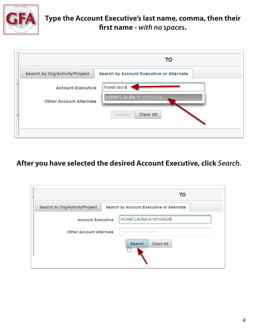

**Type the Account Executive's last name, comma, then their first name -** *with no spaces***.** 



#### **After you have selected the desired Account Executive, click** *Search.*

|                                       | то                                              |
|---------------------------------------|-------------------------------------------------|
| <b>Search by Org/Activity/Project</b> | <b>Search by Account Executive or Alternate</b> |
| <b>Account Executive</b>              | HOWAT, LAURA M~00100629                         |
| <b>Other Account Alternate</b>        | Type Emplid or Name                             |
|                                       | <b>Clear All</b><br>Search<br>1m                |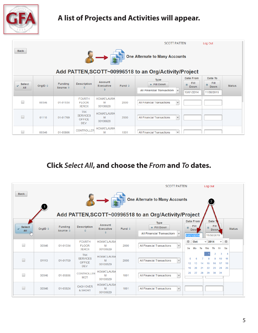

# **A list of Projects and Activities will appear.**

| <b>Back</b>          |                  |                                     |                                                        |                                         |                 | <b>SCOTT PATTEN</b><br><b>One Alternate to Many Accounts</b><br>Add PATTEN, SCOTT~00996518 to an Org/Activity/Project |                                                                   | Log Out                                            |               |
|----------------------|------------------|-------------------------------------|--------------------------------------------------------|-----------------------------------------|-----------------|-----------------------------------------------------------------------------------------------------------------------|-------------------------------------------------------------------|----------------------------------------------------|---------------|
| <b>Select</b><br>All | OrgID $\diamond$ | <b>Funding</b><br>Source $\diamond$ | <b>Description</b><br>≎                                | <b>Account</b><br><b>Executive</b><br>≎ | Fund $\diamond$ | Type<br>+ Fill Down<br><b>All Financial Transactions</b><br>M                                                         | <b>Date From</b><br><b>Fill</b><br>筒<br><b>Down</b><br>10/01/2014 | Date To<br>Fill.<br>m<br><b>Down</b><br>11/30/2015 | <b>Status</b> |
| $\Box$               | 00346            | 01-01534                            | <b>FOURTH</b><br><b>FLOOR</b><br><b>XEROX</b>          | <b>HOWAT, LAURA</b><br>M<br>00100629    | 2000            | All Financial Transactions<br>$\checkmark$                                                                            |                                                                   |                                                    |               |
| □                    | 01110            | 01-01769                            | <b>TAX</b><br><b>SERVICES</b><br><b>OFFICE</b><br>DEV. | HOWAT, LAURA<br>M<br>00100629           | 2000            | $\checkmark$<br>All Financial Transactions                                                                            |                                                                   |                                                    |               |
| E.                   | 00346            | 01-05806                            | <b>CONTROLLER</b><br>.                                 | <b>HOWAT, LAURA</b><br>M                | 1001            | $\vee$<br><b>All Financial Transactions</b>                                                                           |                                                                   |                                                    |               |

## **Click** *Select All***, and choose the** *From* **and** *To* **dates.**

|                          |                  |                   |                                 |                                      |                        | <b>SCOTT PATTEN</b>                                                                            |          |                           |    | Log Out           |                               |              |               |
|--------------------------|------------------|-------------------|---------------------------------|--------------------------------------|------------------------|------------------------------------------------------------------------------------------------|----------|---------------------------|----|-------------------|-------------------------------|--------------|---------------|
| <b>Back</b>              | $\overline{1}$   |                   |                                 |                                      |                        | <b>One Alternate to Many Accounts</b><br>Add PATTEN, SCOTT~00996518 to an Org/Activity/Project |          |                           |    | $\overline{2}$    |                               |              |               |
| <b>Select</b>            |                  | <b>Funding</b>    | <b>Description</b>              | <b>Account</b>                       |                        | <b>Type</b>                                                                                    |          | <b>Date From</b><br>Fill  |    | <b>Date</b>       | Fill                          |              |               |
| AII                      | OrgID $\diamond$ | Source $\diamond$ | 죠                               | <b>Executive</b><br>$\hat{v}$        | Fund $\Leftrightarrow$ | + Fill Down<br><b>All Financial Transactions</b><br>$\vee$                                     | 箇        | <b>Dowl</b><br>10/01/2014 |    | o                 | Down.<br>11/30/2015           |              | <b>Status</b> |
|                          |                  |                   | <b>FOURTH</b>                   |                                      |                        |                                                                                                | $\circ$  |                           |    |                   |                               | $\checkmark$ | $\circ$       |
| □                        | 00346            | 01-01534          | <b>FLOOR</b><br><b>XEROX</b>    | <b>HOWAT, LAURA</b><br>M<br>00100629 | 2000                   | All Financial Transactions<br>$\checkmark$                                                     | Su       | Oct<br>Mo                 | Тu | $\vee$ 2014<br>We | Th                            | -Fr          | <b>Sa</b>     |
|                          |                  |                   | <b>TAX</b><br><b>SERVICES</b>   | <b>HOWAT, LAURA</b>                  |                        |                                                                                                |          |                           |    |                   | $\overline{\phantom{a}}$<br>o | 3<br>10      | 4<br>11       |
|                          | 01110            | 01-01769          | <b>OFFICE</b><br>DEV.           | M<br>00100629                        | 2000                   | All Financial Transactions<br>$\checkmark$                                                     | 12<br>19 | 20                        | 21 | 22                | 23                            | 17<br>24     | 18<br>25      |
|                          | 00346            | 01-05806          | <b>CONTROLLER</b><br><b>MGT</b> | <b>HOWAT LAURA</b><br>M<br>00100629  | 1001                   | All Financial Transactions<br>$\checkmark$                                                     | 26       | 27                        | 28 | 29                | 30                            | 31           |               |
| $\overline{\phantom{a}}$ | 00346            | 01-05824          | <b>CASH OVER</b><br>& SHORT     | <b>HOWAT, LAURA</b><br>M<br>00100629 | 1001                   | All Financial Transactions<br>$\checkmark$                                                     |          |                           |    |                   |                               |              |               |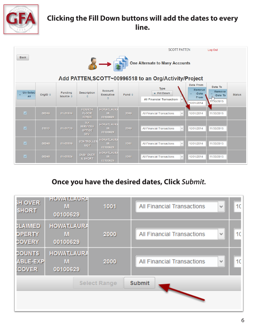

# **Clicking the Fill Down buttons will add the dates to every line.**

|                          |                  |                            |                                                 |                                           |                 | <b>SCOTT PATTEN</b>                                                                            |                                                    | Log Out                                     |               |
|--------------------------|------------------|----------------------------|-------------------------------------------------|-------------------------------------------|-----------------|------------------------------------------------------------------------------------------------|----------------------------------------------------|---------------------------------------------|---------------|
| <b>Back</b>              |                  |                            |                                                 |                                           |                 | <b>One Alternate to Many Accounts</b><br>Add PATTEN, SCOTT~00996518 to an Org/Activity/Project |                                                    |                                             |               |
| <b>Un-Select</b><br>AII  | OrgID $\diamond$ | <b>Funding</b><br>Source 0 | <b>Description</b><br>÷.                        | Account<br><b>Executive</b><br>≎          | Fund $\diamond$ | <b>Type</b><br>+ Fill Down<br><b>All Financial Transactions</b><br>v                           | Date From<br>Remove<br>-Date<br>From<br>10/01/2014 | Date To<br>Remove<br>-Date To<br>11730/2015 | <b>Status</b> |
| $\overline{\mathbf{v}}$  | 00346            | 01-01534                   | <b>FOURTH</b><br><b>FLOOR</b><br><b>XEROX</b>   | <b>HOWATLAURA</b><br>M<br>00100629        | 2000            | <b>All Financial Transactions</b><br>v                                                         | 10/01/2014                                         | 11/30/2015                                  |               |
| $\overline{\mathbf{v}}$  | 01110            | 01-01769                   | <b>TAX</b><br><b>SERVICES</b><br>OFFICE<br>DEV. | <b>HOWATLAURA</b><br><b>M</b><br>00100629 | 2000            | All Financial Transactions<br>$\omega$                                                         | 10/01/2014                                         | 11/30/2015                                  |               |
| $\overline{\mathcal{S}}$ | 00346            | 01-05806                   | <b>CONTROLLER</b><br><b>MGT</b>                 | <b>HOWATLAURA</b><br>м<br>00100629        | 1001            | v<br><b>All Financial Transactions</b>                                                         | 10/01/2014                                         | 11/30/2015                                  |               |
| $\overline{\mathbf{v}}$  | 00346            | 01-05824                   | <b>CASH OVER</b><br>& SHORT                     | <b>HOWATLAURA</b><br>M.<br>00100629       | 1001            | <b>All Financial Transactions</b><br>v                                                         | 10/01/2014                                         | 11/30/2015                                  |               |

# **Once you have the desired dates, Click** *Submit.*

| <b>SH OVER</b><br><b>SHORT</b>                   | <b>HOWAI,LAURA</b><br>М<br>00100629  | 1001                | <b>All Financial Transactions</b> | $\eta_{\phi}$  | 10 |
|--------------------------------------------------|--------------------------------------|---------------------|-----------------------------------|----------------|----|
| <b>CLAIMED</b><br><b>OPERTY</b><br><b>COVERY</b> | <b>HOWAT, LAURA</b><br>M<br>00100629 | 2000                | All Financial Transactions        | $\eta_{\rm q}$ | 10 |
| <b>COUNTS</b><br><b>ABLE-EXP</b><br><b>COVER</b> | <b>HOWAT,LAURA</b><br>M<br>00100629  | 2000                | All Financial Transactions        | $\eta_{\phi}$  | 10 |
|                                                  |                                      | <b>Select Range</b> | <b>Submit</b>                     |                |    |